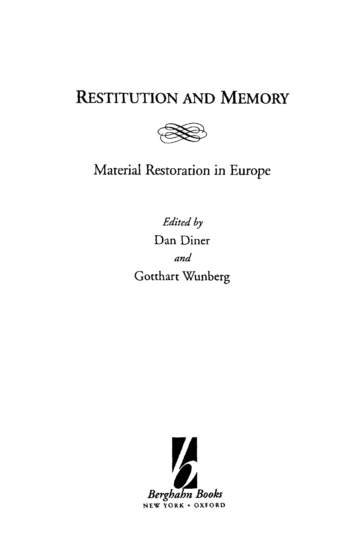# RESTITUTION AND MEMORY



Material Restoration in Europe

*Edited by* Dan Diner *and* Gotthart Wunberg

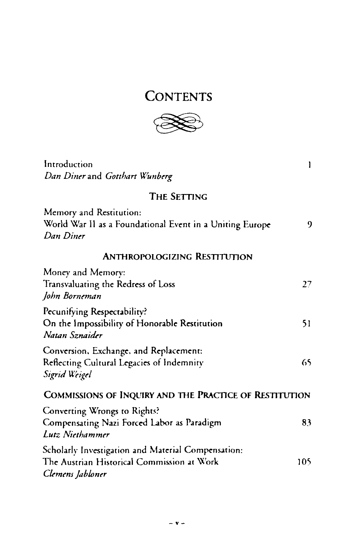## **CONTENTS**



Introduction and the set of the set of the set of the set of the set of the set of the set of the set of the set of the set of the set of the set of the set of the set of the set of the set of the set of the set of the set *Dan Diner* and *Gotthart Wunberg* THE SETTING Memory and Restitution: World War II as a Foundational Event in a Uniting Europe 9

*Dan Diner*

#### ANTHROPOLOGIZING RESTITUTION

| Money and Memory:                                                                                                    |      |
|----------------------------------------------------------------------------------------------------------------------|------|
| Transvaluating the Redress of Loss                                                                                   | 27.  |
| John Borneman                                                                                                        |      |
| Pecunifying Respectability?<br>On the Impossibility of Honorable Restitution<br>Natan Sznaider                       | 51   |
| Conversion, Exchange, and Replacement:<br>Reflecting Cultural Legacies of Indemnity<br>Sigrid Weigel                 | 65.  |
| COMMISSIONS OF INQUIRY AND THE PRACTICE OF RESTITUTION                                                               |      |
| Converting Wrongs to Rights?<br>Compensating Nazi Forced Labor as Paradigm<br>Lutz Niethammer                        | 83   |
| Scholarly Investigation and Material Compensation:<br>The Austrian Historical Commission at Work<br>Clemens Jabloner | 105. |